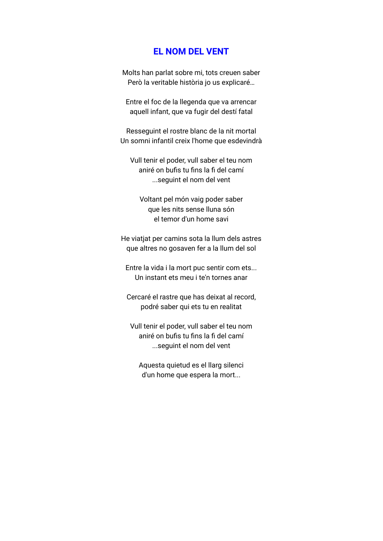## **EL NOM DEL VENT**

Molts han parlat sobre mi, tots creuen saber Però la veritable història jo us explicaré…

Entre el foc de la llegenda que va arrencar aquell infant, que va fugir del destí fatal

Resseguint el rostre blanc de la nit mortal Un somni infantil creix l'home que esdevindrà

Vull tenir el poder, vull saber el teu nom aniré on bufis tu fins la fi del camí ...seguint el nom del vent

Voltant pel món vaig poder saber que les nits sense lluna són el temor d'un home savi

He viatjat per camins sota la llum dels astres que altres no gosaven fer a la llum del sol

Entre la vida i la mort puc sentir com ets... Un instant ets meu i te'n tornes anar

Cercaré el rastre que has deixat al record, podré saber qui ets tu en realitat

Vull tenir el poder, vull saber el teu nom aniré on bufis tu fins la fi del camí ...seguint el nom del vent

Aquesta quietud es el llarg silenci d'un home que espera la mort...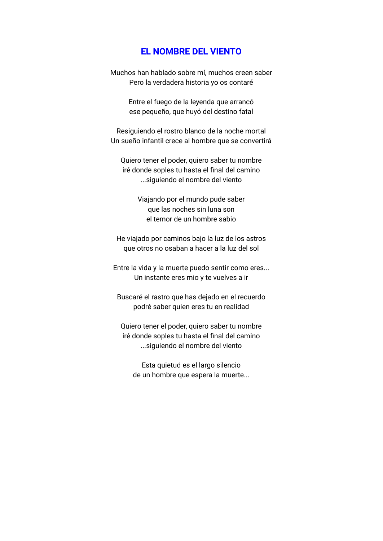## **EL NOMBRE DEL VIENTO**

Muchos han hablado sobre mí, muchos creen saber Pero la verdadera historia yo os contaré

> Entre el fuego de la leyenda que arrancó ese pequeño, que huyó del destino fatal

Resiguiendo el rostro blanco de la noche mortal Un sueño infantil crece al hombre que se convertirá

Quiero tener el poder, quiero saber tu nombre iré donde soples tu hasta el final del camino ...siguiendo el nombre del viento

> Viajando por el mundo pude saber que las noches sin luna son el temor de un hombre sabio

He viajado por caminos bajo la luz de los astros que otros no osaban a hacer a la luz del sol

Entre la vida y la muerte puedo sentir como eres... Un instante eres mio y te vuelves a ir

Buscaré el rastro que has dejado en el recuerdo podré saber quien eres tu en realidad

Quiero tener el poder, quiero saber tu nombre iré donde soples tu hasta el final del camino ...siguiendo el nombre del viento

Esta quietud es el largo silencio de un hombre que espera la muerte...